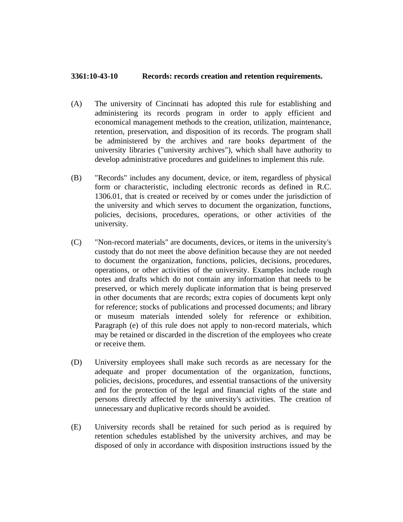## **3361:10-43-10 Records: records creation and retention requirements.**

- (A) The university of Cincinnati has adopted this rule for establishing and administering its records program in order to apply efficient and economical management methods to the creation, utilization, maintenance, retention, preservation, and disposition of its records. The program shall be administered by the archives and rare books department of the university libraries ("university archives"), which shall have authority to develop administrative procedures and guidelines to implement this rule.
- (B) "Records" includes any document, device, or item, regardless of physical form or characteristic, including electronic records as defined in R.C. 1306.01, that is created or received by or comes under the jurisdiction of the university and which serves to document the organization, functions, policies, decisions, procedures, operations, or other activities of the university.
- (C) "Non-record materials" are documents, devices, or items in the university's custody that do not meet the above definition because they are not needed to document the organization, functions, policies, decisions, procedures, operations, or other activities of the university. Examples include rough notes and drafts which do not contain any information that needs to be preserved, or which merely duplicate information that is being preserved in other documents that are records; extra copies of documents kept only for reference; stocks of publications and processed documents; and library or museum materials intended solely for reference or exhibition. Paragraph (e) of this rule does not apply to non-record materials, which may be retained or discarded in the discretion of the employees who create or receive them.
- (D) University employees shall make such records as are necessary for the adequate and proper documentation of the organization, functions, policies, decisions, procedures, and essential transactions of the university and for the protection of the legal and financial rights of the state and persons directly affected by the university's activities. The creation of unnecessary and duplicative records should be avoided.
- (E) University records shall be retained for such period as is required by retention schedules established by the university archives, and may be disposed of only in accordance with disposition instructions issued by the